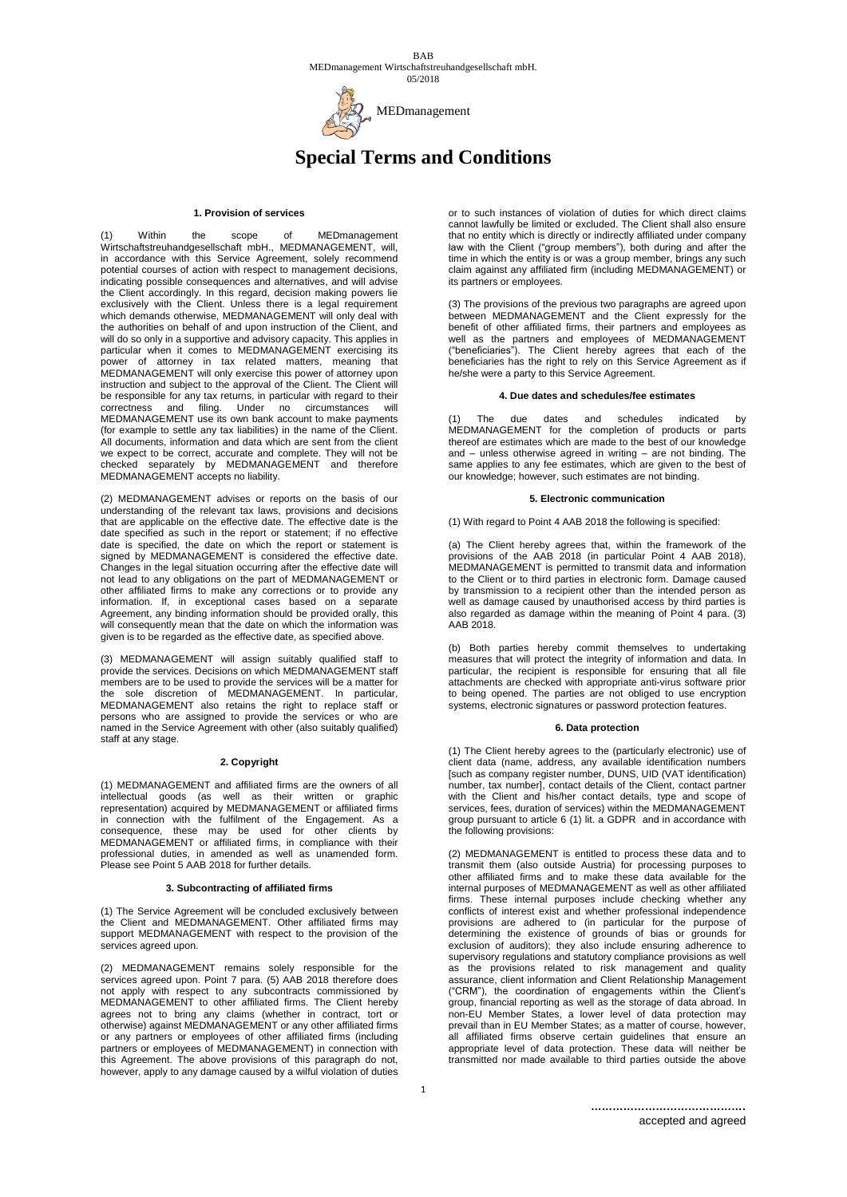

# **Special Terms and Conditions**

## **1. Provision of services**

Within the scope of MEDmanagement Wirtschaftstreuhandgesellschaft mbH., MEDMANAGEMENT, will, in accordance with this Service Agreement, solely recommend potential courses of action with respect to management decisions, indicating possible consequences and alternatives, and will advise the Client accordingly. In this regard, decision making powers lie exclusively with the Client. Unless there is a legal requirement which demands otherwise, MEDMANAGEMENT will only deal with the authorities on behalf of and upon instruction of the Client, and will do so only in a supportive and advisory capacity. This applies in particular when it comes to MEDMANAGEMENT exercising its power of attorney in tax related matters, meaning that MEDMANAGEMENT will only exercise this power of attorney upon instruction and subject to the approval of the Client. The Client will be responsible for any tax returns, in particular with regard to their correctness and filing. Under no circumstances will MEDMANAGEMENT use its own bank account to make payments (for example to settle any tax liabilities) in the name of the Client. All documents, information and data which are sent from the client we expect to be correct, accurate and complete. They will not be checked separately by MEDMANAGEMENT and therefore MEDMANAGEMENT accepts no liability.

(2) MEDMANAGEMENT advises or reports on the basis of our understanding of the relevant tax laws, provisions and decisions that are applicable on the effective date. The effective date is the date specified as such in the report or statement; if no effective date is specified, the date on which the report or statement is signed by MEDMANAGEMENT is considered the effective date. Changes in the legal situation occurring after the effective date will not lead to any obligations on the part of MEDMANAGEMENT or other affiliated firms to make any corrections or to provide any information. If, in exceptional cases based on a separate Agreement, any binding information should be provided orally, this will consequently mean that the date on which the information was given is to be regarded as the effective date, as specified above.

(3) MEDMANAGEMENT will assign suitably qualified staff to provide the services. Decisions on which MEDMANAGEMENT staff members are to be used to provide the services will be a matter for the sole discretion of MEDMANAGEMENT. In particular, MEDMANAGEMENT also retains the right to replace staff or persons who are assigned to provide the services or who are named in the Service Agreement with other (also suitably qualified) staff at any stage.

## **2. Copyright**

(1) MEDMANAGEMENT and affiliated firms are the owners of all intellectual goods (as well as their written or graphic representation) acquired by MEDMANAGEMENT or affiliated firms in connection with the fulfilment of the Engagement. As a consequence, these may be used for other clients by MEDMANAGEMENT or affiliated firms, in compliance with their professional duties, in amended as well as unamended form. Please see Point 5 AAB 2018 for further details.

## **3. Subcontracting of affiliated firms**

(1) The Service Agreement will be concluded exclusively between the Client and MEDMANAGEMENT. Other affiliated firms may support MEDMANAGEMENT with respect to the provision of the services agreed upon.

(2) MEDMANAGEMENT remains solely responsible for the services agreed upon. Point 7 para. (5) AAB 2018 therefore does not apply with respect to any subcontracts commissioned by MEDMANAGEMENT to other affiliated firms. The Client hereby agrees not to bring any claims (whether in contract, tort or otherwise) against MEDMANAGEMENT or any other affiliated firms or any partners or employees of other affiliated firms (including partners or employees of MEDMANAGEMENT) in connection with this Agreement. The above provisions of this paragraph do not, however, apply to any damage caused by a wilful violation of duties

or to such instances of violation of duties for which direct claims cannot lawfully be limited or excluded. The Client shall also ensure that no entity which is directly or indirectly affiliated under company law with the Client ("group members"), both during and after the time in which the entity is or was a group member, brings any such claim against any affiliated firm (including MEDMANAGEMENT) or its partners or employees.

(3) The provisions of the previous two paragraphs are agreed upon between MEDMANAGEMENT and the Client expressly for the benefit of other affiliated firms, their partners and employees as well as the partners and employees of MEDMANAGEMENT ("beneficiaries"). The Client hereby agrees that each of the beneficiaries has the right to rely on this Service Agreement as if he/she were a party to this Service Agreement.

# **4. Due dates and schedules/fee estimates**

The due dates and schedules indicated by MEDMANAGEMENT for the completion of products or parts thereof are estimates which are made to the best of our knowledge and – unless otherwise agreed in writing – are not binding. The same applies to any fee estimates, which are given to the best of our knowledge; however, such estimates are not binding.

#### **5. Electronic communication**

(1) With regard to Point 4 AAB 2018 the following is specified:

(a) The Client hereby agrees that, within the framework of the provisions of the AAB 2018 (in particular Point 4 AAB 2018), MEDMANAGEMENT is permitted to transmit data and information to the Client or to third parties in electronic form. Damage caused by transmission to a recipient other than the intended person as well as damage caused by unauthorised access by third parties is also regarded as damage within the meaning of Point  $4$  para. (3) AAB 2018.

(b) Both parties hereby commit themselves to undertaking measures that will protect the integrity of information and data. In particular, the recipient is responsible for ensuring that all file attachments are checked with appropriate anti-virus software prior to being opened. The parties are not obliged to use encryption systems, electronic signatures or password protection features.

#### **6. Data protection**

(1) The Client hereby agrees to the (particularly electronic) use of client data (name, address, any available identification numbers [such as company register number, DUNS, UID (VAT identification) number, tax number], contact details of the Client, contact partner with the Client and his/her contact details, type and scope of services, fees, duration of services) within the MEDMANAGEMENT group pursuant to article 6 (1) lit. a GDPR and in accordance with the following provisions:

(2) MEDMANAGEMENT is entitled to process these data and to transmit them (also outside Austria) for processing purposes to other affiliated firms and to make these data available for the internal purposes of MEDMANAGEMENT as well as other affiliated firms. These internal purposes include checking whether any conflicts of interest exist and whether professional independence provisions are adhered to (in particular for the purpose of determining the existence of grounds of bias or grounds for exclusion of auditors); they also include ensuring adherence to supervisory regulations and statutory compliance provisions as well as the provisions related to risk management and quality assurance, client information and Client Relationship Management ("CRM"), the coordination of engagements within the Client's group, financial reporting as well as the storage of data abroad. In non-EU Member States, a lower level of data protection may prevail than in EU Member States; as a matter of course, however, all affiliated firms observe certain guidelines that ensure an appropriate level of data protection. These data will neither be transmitted nor made available to third parties outside the above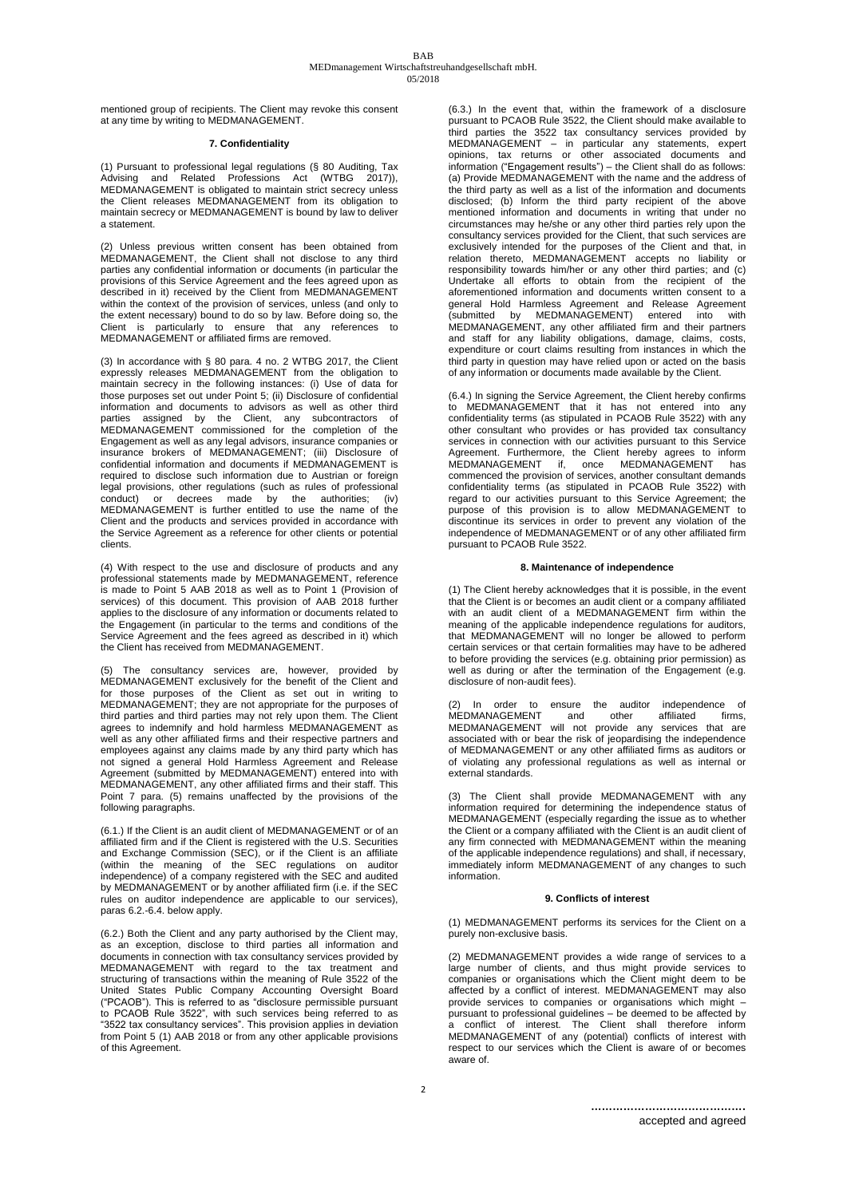mentioned group of recipients. The Client may revoke this consent at any time by writing to MEDMANAGEMENT.

## **7. Confidentiality**

(1) Pursuant to professional legal regulations (§ 80 Auditing, Tax Advising and Related Professions Act (WTBG 2017)), MEDMANAGEMENT is obligated to maintain strict secrecy unless the Client releases MEDMANAGEMENT from its obligation to maintain secrecy or MEDMANAGEMENT is bound by law to deliver a statement.

(2) Unless previous written consent has been obtained from MEDMANAGEMENT, the Client shall not disclose to any third parties any confidential information or documents (in particular the provisions of this Service Agreement and the fees agreed upon as described in it) received by the Client from MEDMANAGEMENT within the context of the provision of services, unless (and only to the extent necessary) bound to do so by law. Before doing so, the Client is particularly to ensure that any references MEDMANAGEMENT or affiliated firms are removed.

(3) In accordance with § 80 para. 4 no. 2 WTBG 2017, the Client expressly releases MEDMANAGEMENT from the obligation to maintain secrecy in the following instances: (i) Use of data for those purposes set out under Point 5; (ii) Disclosure of confidential information and documents to advisors as well as other third parties assigned by the Client, any subcontractors of MEDMANAGEMENT commissioned for the completion of the Engagement as well as any legal advisors, insurance companies or insurance brokers of MEDMANAGEMENT; (iii) Disclosure of confidential information and documents if MEDMANAGEMENT is required to disclose such information due to Austrian or foreign legal provisions, other regulations (such as rules of professional conduct) or decrees made by the authorities; MEDMANAGEMENT is further entitled to use the name of the Client and the products and services provided in accordance with the Service Agreement as a reference for other clients or potential clients.

(4) With respect to the use and disclosure of products and any professional statements made by MEDMANAGEMENT, reference is made to Point 5 AAB 2018 as well as to Point 1 (Provision of services) of this document. This provision of AAB 2018 further applies to the disclosure of any information or documents related to the Engagement (in particular to the terms and conditions of the Service Agreement and the fees agreed as described in it) which the Client has received from MEDMANAGEMENT.

The consultancy services are, however, provided by MEDMANAGEMENT exclusively for the benefit of the Client and for those purposes of the Client as set out in writing to MEDMANAGEMENT; they are not appropriate for the purposes of third parties and third parties may not rely upon them. The Client agrees to indemnify and hold harmless MEDMANAGEMENT as well as any other affiliated firms and their respective partners and employees against any claims made by any third party which has not signed a general Hold Harmless Agreement and Release Agreement (submitted by MEDMANAGEMENT) entered into with MEDMANAGEMENT, any other affiliated firms and their staff. This Point 7 para. (5) remains unaffected by the provisions of the following paragraphs.

(6.1.) If the Client is an audit client of MEDMANAGEMENT or of an affiliated firm and if the Client is registered with the U.S. Securities and Exchange Commission (SEC), or if the Client is an affiliate (within the meaning of the SEC regulations on auditor independence) of a company registered with the SEC and audited by MEDMANAGEMENT or by another affiliated firm (i.e. if the SEC rules on auditor independence are applicable to our services), paras 6.2.-6.4. below apply.

(6.2.) Both the Client and any party authorised by the Client may, as an exception, disclose to third parties all information and documents in connection with tax consultancy services provided by MEDMANAGEMENT with regard to the tax treatment and structuring of transactions within the meaning of Rule 3522 of the United States Public Company Accounting Oversight Board ("PCAOB"). This is referred to as "disclosure permissible pursuant to PCAOB Rule 3522", with such services being referred to as "3522 tax consultancy services". This provision applies in deviation from Point 5 (1) AAB 2018 or from any other applicable provisions of this Agreement.

(6.3.) In the event that, within the framework of a disclosure pursuant to PCAOB Rule 3522, the Client should make available to third parties the 3522 tax consultancy services provided by MEDMANAGEMENT – in particular any statements, expert opinions, tax returns or other associated documents and information ("Engagement results") – the Client shall do as follows: (a) Provide MEDMANAGEMENT with the name and the address of the third party as well as a list of the information and documents disclosed; (b) Inform the third party recipient of the above mentioned information and documents in writing that under no circumstances may he/she or any other third parties rely upon the consultancy services provided for the Client, that such services are exclusively intended for the purposes of the Client and that, in relation thereto, MEDMANAGEMENT accepts no liability or responsibility towards him/her or any other third parties; and (c) Undertake all efforts to obtain from the recipient of the aforementioned information and documents written consent to a general Hold Harmless Agreement and Release Agreement (submitted by MEDMANAGEMENT) entered into MEDMANAGEMENT, any other affiliated firm and their partners and staff for any liability obligations, damage, claims, costs, expenditure or court claims resulting from instances in which the third party in question may have relied upon or acted on the basis of any information or documents made available by the Client.

(6.4.) In signing the Service Agreement, the Client hereby confirms to MEDMANAGEMENT that it has not entered into any confidentiality terms (as stipulated in PCAOB Rule 3522) with any other consultant who provides or has provided tax consultancy services in connection with our activities pursuant to this Service Agreement. Furthermore, the Client hereby agrees to inform<br>MEDMANAGEMENT if, once MEDMANAGEMENT has MEDMANAGEMENT if, once MEDMANAGEMENT has commenced the provision of services, another consultant demands confidentiality terms (as stipulated in PCAOB Rule 3522) with regard to our activities pursuant to this Service Agreement; the purpose of this provision is to allow MEDMANAGEMENT to discontinue its services in order to prevent any violation of the independence of MEDMANAGEMENT or of any other affiliated firm pursuant to PCAOB Rule 3522.

# **8. Maintenance of independence**

(1) The Client hereby acknowledges that it is possible, in the event that the Client is or becomes an audit client or a company affiliated with an audit client of a MEDMANAGEMENT firm within the meaning of the applicable independence regulations for auditors, that MEDMANAGEMENT will no longer be allowed to perform certain services or that certain formalities may have to be adhered to before providing the services (e.g. obtaining prior permission) as well as during or after the termination of the Engagement (e.g. disclosure of non-audit fees).

(2) In order to ensure the auditor independence of MEDMANAGEMENT and other affiliated firms, MEDMANAGEMENT and other affiliated firms,<br>MEDMANAGEMENT will not provide any services that are associated with or bear the risk of jeopardising the independence of MEDMANAGEMENT or any other affiliated firms as auditors or of violating any professional regulations as well as internal or external standards.

(3) The Client shall provide MEDMANAGEMENT with any information required for determining the independence status of MEDMANAGEMENT (especially regarding the issue as to whether the Client or a company affiliated with the Client is an audit client of any firm connected with MEDMANAGEMENT within the meaning of the applicable independence regulations) and shall, if necessary, immediately inform MEDMANAGEMENT of any changes to such information.

# **9. Conflicts of interest**

(1) MEDMANAGEMENT performs its services for the Client on a purely non-exclusive basis.

(2) MEDMANAGEMENT provides a wide range of services to a large number of clients, and thus might provide services to companies or organisations which the Client might deem to be affected by a conflict of interest. MEDMANAGEMENT may also provide services to companies or organisations which might – pursuant to professional guidelines – be deemed to be affected by a conflict of interest. The Client shall therefore inform MEDMANAGEMENT of any (potential) conflicts of interest with respect to our services which the Client is aware of or becomes aware of.